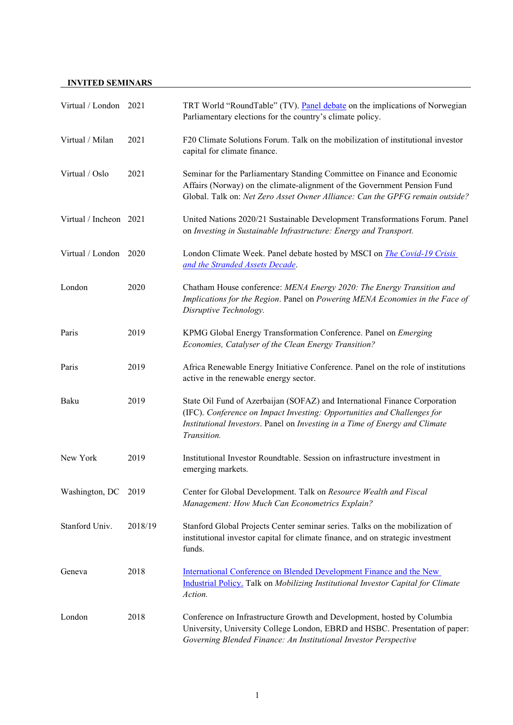## **INVITED SEMINARS**

| Virtual / London 2021  |         | TRT World "RoundTable" (TV). Panel debate on the implications of Norwegian<br>Parliamentary elections for the country's climate policy.                                                                                                             |
|------------------------|---------|-----------------------------------------------------------------------------------------------------------------------------------------------------------------------------------------------------------------------------------------------------|
| Virtual / Milan        | 2021    | F20 Climate Solutions Forum. Talk on the mobilization of institutional investor<br>capital for climate finance.                                                                                                                                     |
| Virtual / Oslo         | 2021    | Seminar for the Parliamentary Standing Committee on Finance and Economic<br>Affairs (Norway) on the climate-alignment of the Government Pension Fund<br>Global. Talk on: Net Zero Asset Owner Alliance: Can the GPFG remain outside?                |
| Virtual / Incheon 2021 |         | United Nations 2020/21 Sustainable Development Transformations Forum. Panel<br>on Investing in Sustainable Infrastructure: Energy and Transport.                                                                                                    |
| Virtual / London       | 2020    | London Climate Week. Panel debate hosted by MSCI on <i>The Covid-19 Crisis</i><br>and the Stranded Assets Decade.                                                                                                                                   |
| London                 | 2020    | Chatham House conference: MENA Energy 2020: The Energy Transition and<br>Implications for the Region. Panel on Powering MENA Economies in the Face of<br>Disruptive Technology.                                                                     |
| Paris                  | 2019    | KPMG Global Energy Transformation Conference. Panel on Emerging<br>Economies, Catalyser of the Clean Energy Transition?                                                                                                                             |
| Paris                  | 2019    | Africa Renewable Energy Initiative Conference. Panel on the role of institutions<br>active in the renewable energy sector.                                                                                                                          |
| Baku                   | 2019    | State Oil Fund of Azerbaijan (SOFAZ) and International Finance Corporation<br>(IFC). Conference on Impact Investing: Opportunities and Challenges for<br>Institutional Investors. Panel on Investing in a Time of Energy and Climate<br>Transition. |
| New York               | 2019    | Institutional Investor Roundtable. Session on infrastructure investment in<br>emerging markets.                                                                                                                                                     |
| Washington, DC         | 2019    | Center for Global Development. Talk on Resource Wealth and Fiscal<br>Management: How Much Can Econometrics Explain?                                                                                                                                 |
| Stanford Univ.         | 2018/19 | Stanford Global Projects Center seminar series. Talks on the mobilization of<br>institutional investor capital for climate finance, and on strategic investment<br>funds.                                                                           |
| Geneva                 | 2018    | International Conference on Blended Development Finance and the New<br>Industrial Policy. Talk on Mobilizing Institutional Investor Capital for Climate<br>Action.                                                                                  |
| London                 | 2018    | Conference on Infrastructure Growth and Development, hosted by Columbia<br>University, University College London, EBRD and HSBC. Presentation of paper:<br>Governing Blended Finance: An Institutional Investor Perspective                         |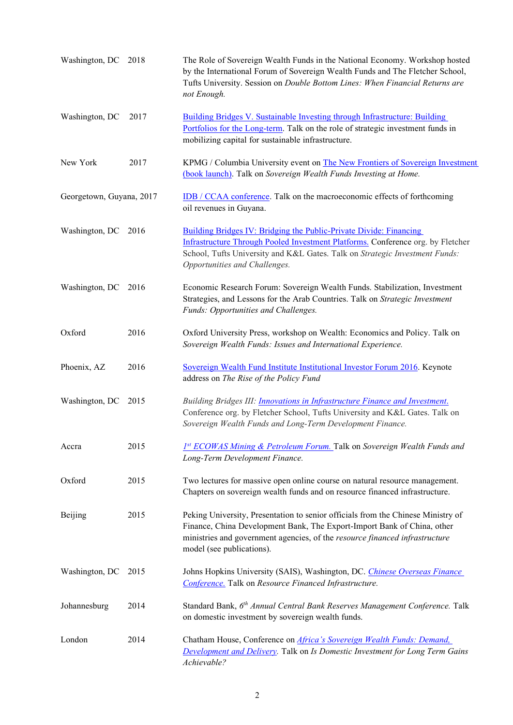| Washington, DC           | 2018 | The Role of Sovereign Wealth Funds in the National Economy. Workshop hosted<br>by the International Forum of Sovereign Wealth Funds and The Fletcher School,<br>Tufts University. Session on Double Bottom Lines: When Financial Returns are<br>not Enough.             |
|--------------------------|------|-------------------------------------------------------------------------------------------------------------------------------------------------------------------------------------------------------------------------------------------------------------------------|
| Washington, DC           | 2017 | <b>Building Bridges V. Sustainable Investing through Infrastructure: Building</b><br>Portfolios for the Long-term. Talk on the role of strategic investment funds in<br>mobilizing capital for sustainable infrastructure.                                              |
| New York                 | 2017 | KPMG / Columbia University event on The New Frontiers of Sovereign Investment<br>(book launch). Talk on Sovereign Wealth Funds Investing at Home.                                                                                                                       |
| Georgetown, Guyana, 2017 |      | <b>IDB</b> / CCAA conference. Talk on the macroeconomic effects of forthcoming<br>oil revenues in Guyana.                                                                                                                                                               |
| Washington, DC           | 2016 | Building Bridges IV: Bridging the Public-Private Divide: Financing<br>Infrastructure Through Pooled Investment Platforms. Conference org. by Fletcher<br>School, Tufts University and K&L Gates. Talk on Strategic Investment Funds:<br>Opportunities and Challenges.   |
| Washington, DC           | 2016 | Economic Research Forum: Sovereign Wealth Funds. Stabilization, Investment<br>Strategies, and Lessons for the Arab Countries. Talk on Strategic Investment<br>Funds: Opportunities and Challenges.                                                                      |
| Oxford                   | 2016 | Oxford University Press, workshop on Wealth: Economics and Policy. Talk on<br>Sovereign Wealth Funds: Issues and International Experience.                                                                                                                              |
| Phoenix, AZ              | 2016 | Sovereign Wealth Fund Institute Institutional Investor Forum 2016. Keynote<br>address on The Rise of the Policy Fund                                                                                                                                                    |
| Washington, DC           | 2015 | Building Bridges III: <i>Innovations in Infrastructure Finance and Investment</i> .<br>Conference org. by Fletcher School, Tufts University and K&L Gates. Talk on<br>Sovereign Wealth Funds and Long-Term Development Finance.                                         |
| Accra                    | 2015 | 1st ECOWAS Mining & Petroleum Forum. Talk on Sovereign Wealth Funds and<br>Long-Term Development Finance.                                                                                                                                                               |
| Oxford                   | 2015 | Two lectures for massive open online course on natural resource management.<br>Chapters on sovereign wealth funds and on resource financed infrastructure.                                                                                                              |
| Beijing                  | 2015 | Peking University, Presentation to senior officials from the Chinese Ministry of<br>Finance, China Development Bank, The Export-Import Bank of China, other<br>ministries and government agencies, of the resource financed infrastructure<br>model (see publications). |
| Washington, DC           | 2015 | Johns Hopkins University (SAIS), Washington, DC. Chinese Overseas Finance<br>Conference. Talk on Resource Financed Infrastructure.                                                                                                                                      |
| Johannesburg             | 2014 | Standard Bank, 6th Annual Central Bank Reserves Management Conference. Talk<br>on domestic investment by sovereign wealth funds.                                                                                                                                        |
| London                   | 2014 | Chatham House, Conference on <i>Africa's Sovereign Wealth Funds: Demand</i> ,<br><b>Development and Delivery</b> . Talk on Is Domestic Investment for Long Term Gains<br>Achievable?                                                                                    |